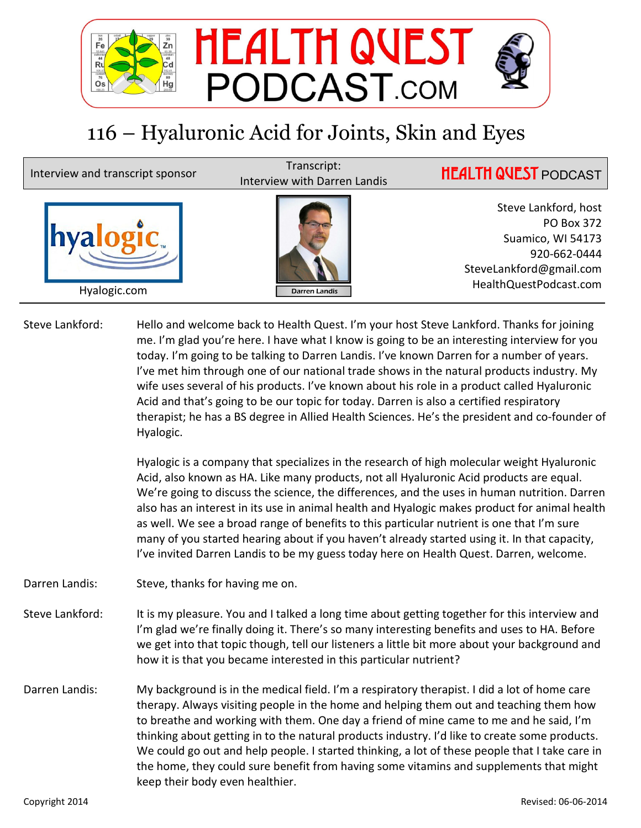

## 116 – Hyaluronic Acid for Joints, Skin and Eyes

Hyalogic.com

hyalogi

Interview and transcript sponsor<br>Interview with Darren Landis



Steve Lankford, host PO Box 372 Suamico, WI 54173 920-662-0444 SteveLankford@gmail.com HealthQuestPodcast.com

**HEALTH QUEST PODCAST** 

Steve Lankford: Hello and welcome back to Health Quest. I'm your host Steve Lankford. Thanks for joining me. I'm glad you're here. I have what I know is going to be an interesting interview for you today. I'm going to be talking to Darren Landis. I've known Darren for a number of years. I've met him through one of our national trade shows in the natural products industry. My wife uses several of his products. I've known about his role in a product called Hyaluronic Acid and that's going to be our topic for today. Darren is also a certified respiratory therapist; he has a BS degree in Allied Health Sciences. He's the president and co-founder of Hyalogic.

> Hyalogic is a company that specializes in the research of high molecular weight Hyaluronic Acid, also known as HA. Like many products, not all Hyaluronic Acid products are equal. We're going to discuss the science, the differences, and the uses in human nutrition. Darren also has an interest in its use in animal health and Hyalogic makes product for animal health as well. We see a broad range of benefits to this particular nutrient is one that I'm sure many of you started hearing about if you haven't already started using it. In that capacity, I've invited Darren Landis to be my guess today here on Health Quest. Darren, welcome.

Darren Landis: Steve, thanks for having me on.

- Steve Lankford: It is my pleasure. You and I talked a long time about getting together for this interview and I'm glad we're finally doing it. There's so many interesting benefits and uses to HA. Before we get into that topic though, tell our listeners a little bit more about your background and how it is that you became interested in this particular nutrient?
- Darren Landis: My background is in the medical field. I'm a respiratory therapist. I did a lot of home care therapy. Always visiting people in the home and helping them out and teaching them how to breathe and working with them. One day a friend of mine came to me and he said, I'm thinking about getting in to the natural products industry. I'd like to create some products. We could go out and help people. I started thinking, a lot of these people that I take care in the home, they could sure benefit from having some vitamins and supplements that might keep their body even healthier.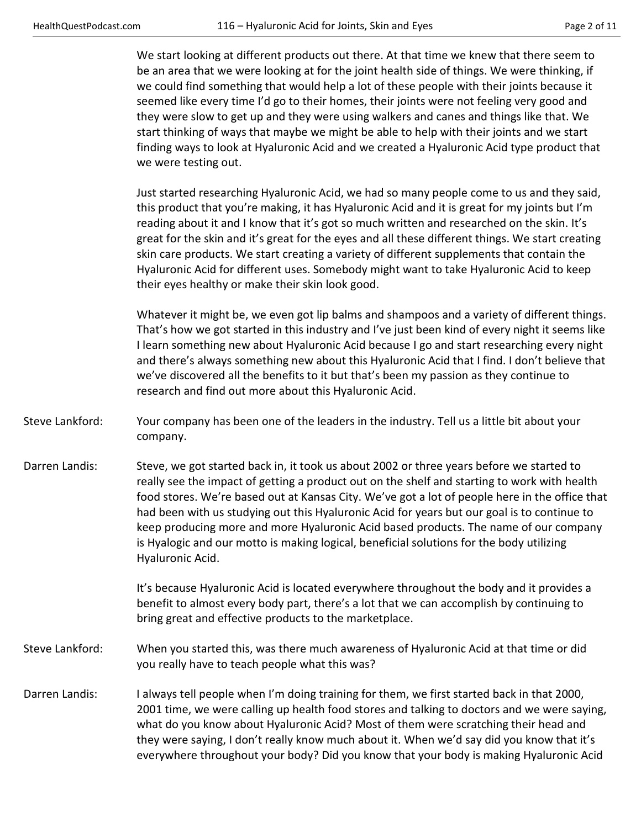We start looking at different products out there. At that time we knew that there seem to be an area that we were looking at for the joint health side of things. We were thinking, if we could find something that would help a lot of these people with their joints because it seemed like every time I'd go to their homes, their joints were not feeling very good and they were slow to get up and they were using walkers and canes and things like that. We start thinking of ways that maybe we might be able to help with their joints and we start finding ways to look at Hyaluronic Acid and we created a Hyaluronic Acid type product that we were testing out.

 Just started researching Hyaluronic Acid, we had so many people come to us and they said, this product that you're making, it has Hyaluronic Acid and it is great for my joints but I'm reading about it and I know that it's got so much written and researched on the skin. It's great for the skin and it's great for the eyes and all these different things. We start creating skin care products. We start creating a variety of different supplements that contain the Hyaluronic Acid for different uses. Somebody might want to take Hyaluronic Acid to keep their eyes healthy or make their skin look good.

 Whatever it might be, we even got lip balms and shampoos and a variety of different things. That's how we got started in this industry and I've just been kind of every night it seems like I learn something new about Hyaluronic Acid because I go and start researching every night and there's always something new about this Hyaluronic Acid that I find. I don't believe that we've discovered all the benefits to it but that's been my passion as they continue to research and find out more about this Hyaluronic Acid.

- Steve Lankford: Your company has been one of the leaders in the industry. Tell us a little bit about your company.
- Darren Landis: Steve, we got started back in, it took us about 2002 or three years before we started to really see the impact of getting a product out on the shelf and starting to work with health food stores. We're based out at Kansas City. We've got a lot of people here in the office that had been with us studying out this Hyaluronic Acid for years but our goal is to continue to keep producing more and more Hyaluronic Acid based products. The name of our company is Hyalogic and our motto is making logical, beneficial solutions for the body utilizing Hyaluronic Acid.

 It's because Hyaluronic Acid is located everywhere throughout the body and it provides a benefit to almost every body part, there's a lot that we can accomplish by continuing to bring great and effective products to the marketplace.

- Steve Lankford: When you started this, was there much awareness of Hyaluronic Acid at that time or did you really have to teach people what this was?
- Darren Landis: I always tell people when I'm doing training for them, we first started back in that 2000, 2001 time, we were calling up health food stores and talking to doctors and we were saying, what do you know about Hyaluronic Acid? Most of them were scratching their head and they were saying, I don't really know much about it. When we'd say did you know that it's everywhere throughout your body? Did you know that your body is making Hyaluronic Acid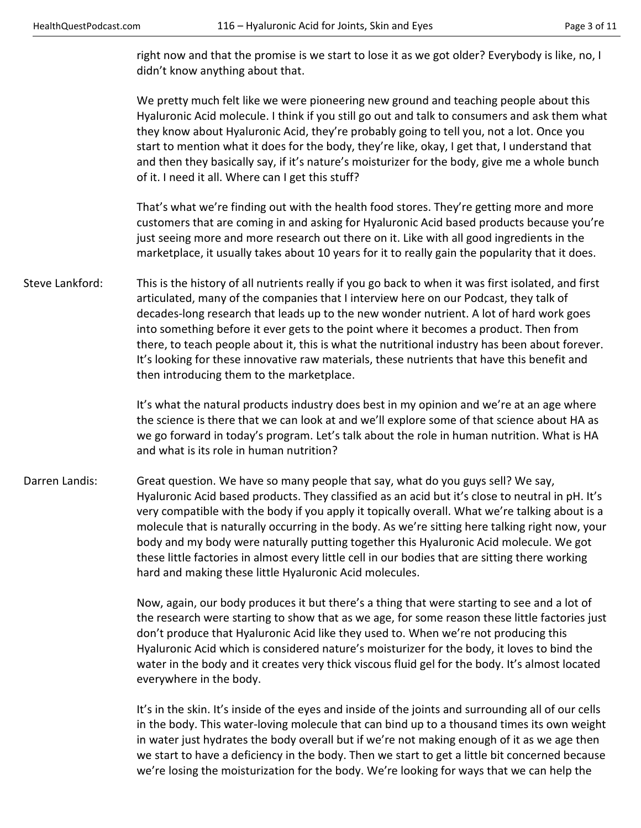right now and that the promise is we start to lose it as we got older? Everybody is like, no, I didn't know anything about that.

 We pretty much felt like we were pioneering new ground and teaching people about this Hyaluronic Acid molecule. I think if you still go out and talk to consumers and ask them what they know about Hyaluronic Acid, they're probably going to tell you, not a lot. Once you start to mention what it does for the body, they're like, okay, I get that, I understand that and then they basically say, if it's nature's moisturizer for the body, give me a whole bunch of it. I need it all. Where can I get this stuff?

 That's what we're finding out with the health food stores. They're getting more and more customers that are coming in and asking for Hyaluronic Acid based products because you're just seeing more and more research out there on it. Like with all good ingredients in the marketplace, it usually takes about 10 years for it to really gain the popularity that it does.

Steve Lankford: This is the history of all nutrients really if you go back to when it was first isolated, and first articulated, many of the companies that I interview here on our Podcast, they talk of decades-long research that leads up to the new wonder nutrient. A lot of hard work goes into something before it ever gets to the point where it becomes a product. Then from there, to teach people about it, this is what the nutritional industry has been about forever. It's looking for these innovative raw materials, these nutrients that have this benefit and then introducing them to the marketplace.

> It's what the natural products industry does best in my opinion and we're at an age where the science is there that we can look at and we'll explore some of that science about HA as we go forward in today's program. Let's talk about the role in human nutrition. What is HA and what is its role in human nutrition?

Darren Landis: Great question. We have so many people that say, what do you guys sell? We say, Hyaluronic Acid based products. They classified as an acid but it's close to neutral in pH. It's very compatible with the body if you apply it topically overall. What we're talking about is a molecule that is naturally occurring in the body. As we're sitting here talking right now, your body and my body were naturally putting together this Hyaluronic Acid molecule. We got these little factories in almost every little cell in our bodies that are sitting there working hard and making these little Hyaluronic Acid molecules.

> Now, again, our body produces it but there's a thing that were starting to see and a lot of the research were starting to show that as we age, for some reason these little factories just don't produce that Hyaluronic Acid like they used to. When we're not producing this Hyaluronic Acid which is considered nature's moisturizer for the body, it loves to bind the water in the body and it creates very thick viscous fluid gel for the body. It's almost located everywhere in the body.

> It's in the skin. It's inside of the eyes and inside of the joints and surrounding all of our cells in the body. This water-loving molecule that can bind up to a thousand times its own weight in water just hydrates the body overall but if we're not making enough of it as we age then we start to have a deficiency in the body. Then we start to get a little bit concerned because we're losing the moisturization for the body. We're looking for ways that we can help the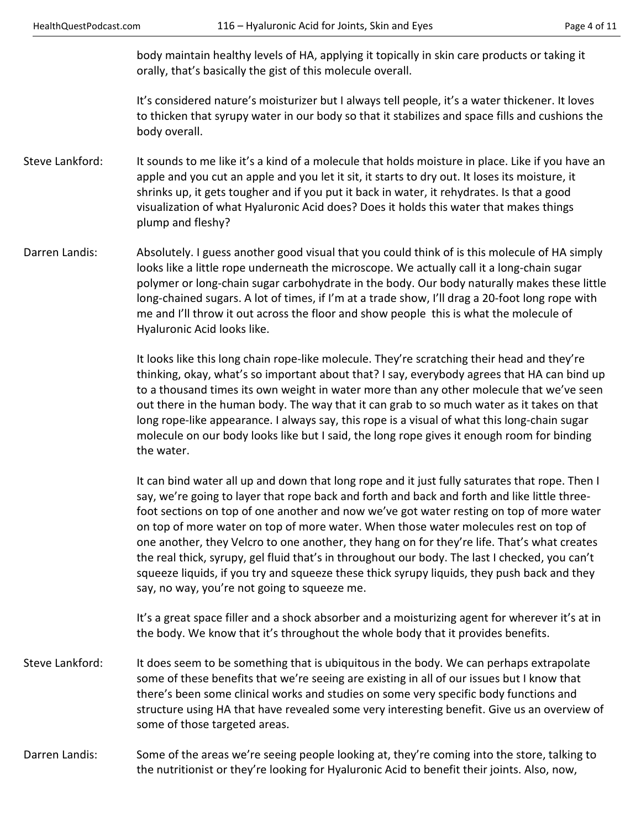body maintain healthy levels of HA, applying it topically in skin care products or taking it orally, that's basically the gist of this molecule overall.

 It's considered nature's moisturizer but I always tell people, it's a water thickener. It loves to thicken that syrupy water in our body so that it stabilizes and space fills and cushions the body overall.

- Steve Lankford: It sounds to me like it's a kind of a molecule that holds moisture in place. Like if you have an apple and you cut an apple and you let it sit, it starts to dry out. It loses its moisture, it shrinks up, it gets tougher and if you put it back in water, it rehydrates. Is that a good visualization of what Hyaluronic Acid does? Does it holds this water that makes things plump and fleshy?
- Darren Landis: Absolutely. I guess another good visual that you could think of is this molecule of HA simply looks like a little rope underneath the microscope. We actually call it a long-chain sugar polymer or long-chain sugar carbohydrate in the body. Our body naturally makes these little long-chained sugars. A lot of times, if I'm at a trade show, I'll drag a 20-foot long rope with me and I'll throw it out across the floor and show people this is what the molecule of Hyaluronic Acid looks like.

 It looks like this long chain rope-like molecule. They're scratching their head and they're thinking, okay, what's so important about that? I say, everybody agrees that HA can bind up to a thousand times its own weight in water more than any other molecule that we've seen out there in the human body. The way that it can grab to so much water as it takes on that long rope-like appearance. I always say, this rope is a visual of what this long-chain sugar molecule on our body looks like but I said, the long rope gives it enough room for binding the water.

 It can bind water all up and down that long rope and it just fully saturates that rope. Then I say, we're going to layer that rope back and forth and back and forth and like little threefoot sections on top of one another and now we've got water resting on top of more water on top of more water on top of more water. When those water molecules rest on top of one another, they Velcro to one another, they hang on for they're life. That's what creates the real thick, syrupy, gel fluid that's in throughout our body. The last I checked, you can't squeeze liquids, if you try and squeeze these thick syrupy liquids, they push back and they say, no way, you're not going to squeeze me.

 It's a great space filler and a shock absorber and a moisturizing agent for wherever it's at in the body. We know that it's throughout the whole body that it provides benefits.

- Steve Lankford: It does seem to be something that is ubiquitous in the body. We can perhaps extrapolate some of these benefits that we're seeing are existing in all of our issues but I know that there's been some clinical works and studies on some very specific body functions and structure using HA that have revealed some very interesting benefit. Give us an overview of some of those targeted areas.
- Darren Landis: Some of the areas we're seeing people looking at, they're coming into the store, talking to the nutritionist or they're looking for Hyaluronic Acid to benefit their joints. Also, now,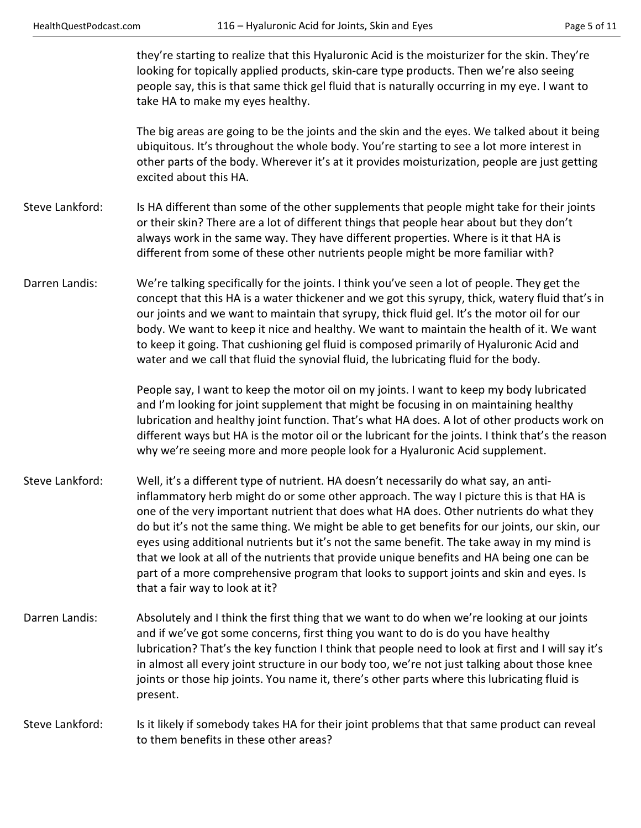they're starting to realize that this Hyaluronic Acid is the moisturizer for the skin. They're looking for topically applied products, skin-care type products. Then we're also seeing people say, this is that same thick gel fluid that is naturally occurring in my eye. I want to take HA to make my eyes healthy.

 The big areas are going to be the joints and the skin and the eyes. We talked about it being ubiquitous. It's throughout the whole body. You're starting to see a lot more interest in other parts of the body. Wherever it's at it provides moisturization, people are just getting excited about this HA.

- Steve Lankford: Is HA different than some of the other supplements that people might take for their joints or their skin? There are a lot of different things that people hear about but they don't always work in the same way. They have different properties. Where is it that HA is different from some of these other nutrients people might be more familiar with?
- Darren Landis: We're talking specifically for the joints. I think you've seen a lot of people. They get the concept that this HA is a water thickener and we got this syrupy, thick, watery fluid that's in our joints and we want to maintain that syrupy, thick fluid gel. It's the motor oil for our body. We want to keep it nice and healthy. We want to maintain the health of it. We want to keep it going. That cushioning gel fluid is composed primarily of Hyaluronic Acid and water and we call that fluid the synovial fluid, the lubricating fluid for the body.

 People say, I want to keep the motor oil on my joints. I want to keep my body lubricated and I'm looking for joint supplement that might be focusing in on maintaining healthy lubrication and healthy joint function. That's what HA does. A lot of other products work on different ways but HA is the motor oil or the lubricant for the joints. I think that's the reason why we're seeing more and more people look for a Hyaluronic Acid supplement.

- Steve Lankford: Well, it's a different type of nutrient. HA doesn't necessarily do what say, an antiinflammatory herb might do or some other approach. The way I picture this is that HA is one of the very important nutrient that does what HA does. Other nutrients do what they do but it's not the same thing. We might be able to get benefits for our joints, our skin, our eyes using additional nutrients but it's not the same benefit. The take away in my mind is that we look at all of the nutrients that provide unique benefits and HA being one can be part of a more comprehensive program that looks to support joints and skin and eyes. Is that a fair way to look at it?
- Darren Landis: Absolutely and I think the first thing that we want to do when we're looking at our joints and if we've got some concerns, first thing you want to do is do you have healthy lubrication? That's the key function I think that people need to look at first and I will say it's in almost all every joint structure in our body too, we're not just talking about those knee joints or those hip joints. You name it, there's other parts where this lubricating fluid is present.

Steve Lankford: Is it likely if somebody takes HA for their joint problems that that same product can reveal to them benefits in these other areas?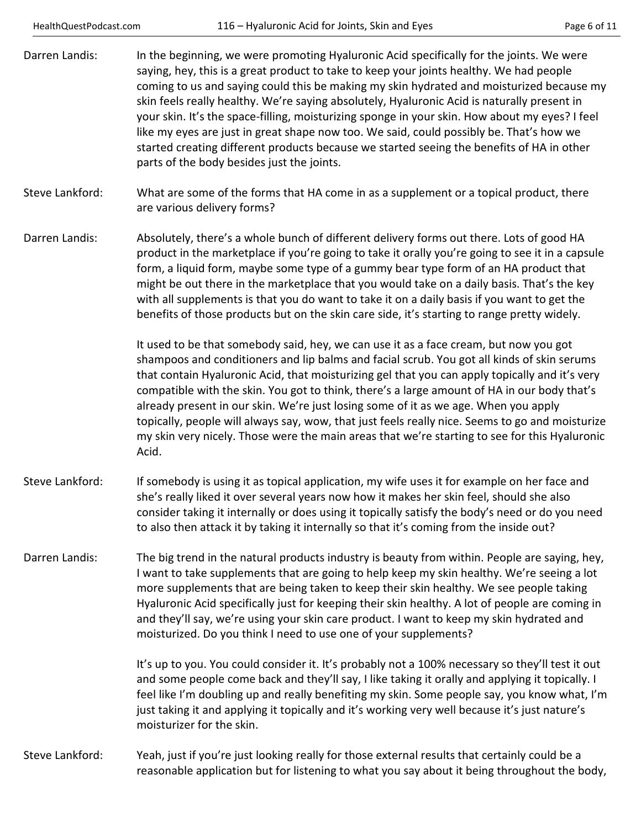| HealthQuestPodcast.com |  |
|------------------------|--|
|------------------------|--|

| Darren Landis:  | In the beginning, we were promoting Hyaluronic Acid specifically for the joints. We were<br>saying, hey, this is a great product to take to keep your joints healthy. We had people<br>coming to us and saying could this be making my skin hydrated and moisturized because my<br>skin feels really healthy. We're saying absolutely, Hyaluronic Acid is naturally present in<br>your skin. It's the space-filling, moisturizing sponge in your skin. How about my eyes? I feel<br>like my eyes are just in great shape now too. We said, could possibly be. That's how we<br>started creating different products because we started seeing the benefits of HA in other<br>parts of the body besides just the joints. |
|-----------------|------------------------------------------------------------------------------------------------------------------------------------------------------------------------------------------------------------------------------------------------------------------------------------------------------------------------------------------------------------------------------------------------------------------------------------------------------------------------------------------------------------------------------------------------------------------------------------------------------------------------------------------------------------------------------------------------------------------------|
| Steve Lankford: | What are some of the forms that HA come in as a supplement or a topical product, there<br>are various delivery forms?                                                                                                                                                                                                                                                                                                                                                                                                                                                                                                                                                                                                  |
| Darren Landis:  | Absolutely, there's a whole bunch of different delivery forms out there. Lots of good HA<br>product in the marketplace if you're going to take it orally you're going to see it in a capsule<br>form, a liquid form, maybe some type of a gummy bear type form of an HA product that<br>might be out there in the marketplace that you would take on a daily basis. That's the key<br>with all supplements is that you do want to take it on a daily basis if you want to get the<br>benefits of those products but on the skin care side, it's starting to range pretty widely.                                                                                                                                       |
|                 | It used to be that somebody said, hey, we can use it as a face cream, but now you got<br>shampoos and conditioners and lip balms and facial scrub. You got all kinds of skin serums<br>that contain Hyaluronic Acid, that moisturizing gel that you can apply topically and it's very<br>compatible with the skin. You got to think, there's a large amount of HA in our body that's<br>already present in our skin. We're just losing some of it as we age. When you apply<br>topically, people will always say, wow, that just feels really nice. Seems to go and moisturize<br>my skin very nicely. Those were the main areas that we're starting to see for this Hyaluronic<br>Acid.                               |
| Steve Lankford: | If somebody is using it as topical application, my wife uses it for example on her face and<br>she's really liked it over several years now how it makes her skin feel, should she also<br>consider taking it internally or does using it topically satisfy the body's need or do you need<br>to also then attack it by taking it internally so that it's coming from the inside out?                                                                                                                                                                                                                                                                                                                                  |
| Darren Landis:  | The big trend in the natural products industry is beauty from within. People are saying, hey,<br>I want to take supplements that are going to help keep my skin healthy. We're seeing a lot<br>more supplements that are being taken to keep their skin healthy. We see people taking<br>Hyaluronic Acid specifically just for keeping their skin healthy. A lot of people are coming in<br>and they'll say, we're using your skin care product. I want to keep my skin hydrated and<br>moisturized. Do you think I need to use one of your supplements?                                                                                                                                                               |
|                 | It's up to you. You could consider it. It's probably not a 100% necessary so they'll test it out<br>and some people come back and they'll say, I like taking it orally and applying it topically. I<br>feel like I'm doubling up and really benefiting my skin. Some people say, you know what, I'm<br>just taking it and applying it topically and it's working very well because it's just nature's<br>moisturizer for the skin.                                                                                                                                                                                                                                                                                     |
| Steve Lankford: | Yeah, just if you're just looking really for those external results that certainly could be a<br>reasonable application but for listening to what you say about it being throughout the body,                                                                                                                                                                                                                                                                                                                                                                                                                                                                                                                          |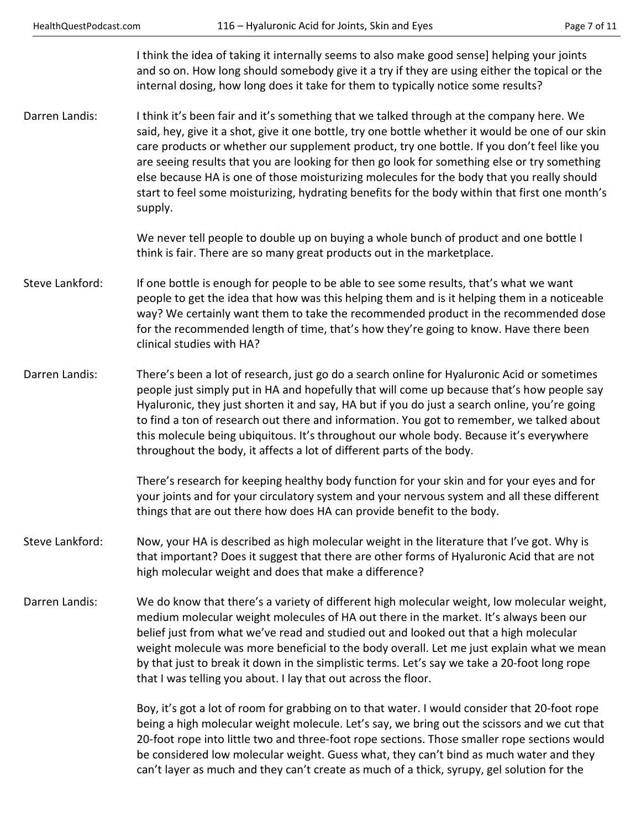I think the idea of taking it internally seems to also make good sense] helping your joints and so on. How long should somebody give it a try if they are using either the topical or the internal dosing, how long does it take for them to typically notice some results?

Darren Landis: I think it's been fair and it's something that we talked through at the company here. We said, hey, give it a shot, give it one bottle, try one bottle whether it would be one of our skin care products or whether our supplement product, try one bottle. If you don't feel like you are seeing results that you are looking for then go look for something else or try something else because HA is one of those moisturizing molecules for the body that you really should start to feel some moisturizing, hydrating benefits for the body within that first one month's supply.

> We never tell people to double up on buying a whole bunch of product and one bottle I think is fair. There are so many great products out in the marketplace.

- Steve Lankford: If one bottle is enough for people to be able to see some results, that's what we want people to get the idea that how was this helping them and is it helping them in a noticeable way? We certainly want them to take the recommended product in the recommended dose for the recommended length of time, that's how they're going to know. Have there been clinical studies with HA?
- Darren Landis: There's been a lot of research, just go do a search online for Hyaluronic Acid or sometimes people just simply put in HA and hopefully that will come up because that's how people say Hyaluronic, they just shorten it and say, HA but if you do just a search online, you're going to find a ton of research out there and information. You got to remember, we talked about this molecule being ubiquitous. It's throughout our whole body. Because it's everywhere throughout the body, it affects a lot of different parts of the body.

 There's research for keeping healthy body function for your skin and for your eyes and for your joints and for your circulatory system and your nervous system and all these different things that are out there how does HA can provide benefit to the body.

- Steve Lankford: Now, your HA is described as high molecular weight in the literature that I've got. Why is that important? Does it suggest that there are other forms of Hyaluronic Acid that are not high molecular weight and does that make a difference?
- Darren Landis: We do know that there's a variety of different high molecular weight, low molecular weight, medium molecular weight molecules of HA out there in the market. It's always been our belief just from what we've read and studied out and looked out that a high molecular weight molecule was more beneficial to the body overall. Let me just explain what we mean by that just to break it down in the simplistic terms. Let's say we take a 20-foot long rope that I was telling you about. I lay that out across the floor.

 Boy, it's got a lot of room for grabbing on to that water. I would consider that 20-foot rope being a high molecular weight molecule. Let's say, we bring out the scissors and we cut that 20-foot rope into little two and three-foot rope sections. Those smaller rope sections would be considered low molecular weight. Guess what, they can't bind as much water and they can't layer as much and they can't create as much of a thick, syrupy, gel solution for the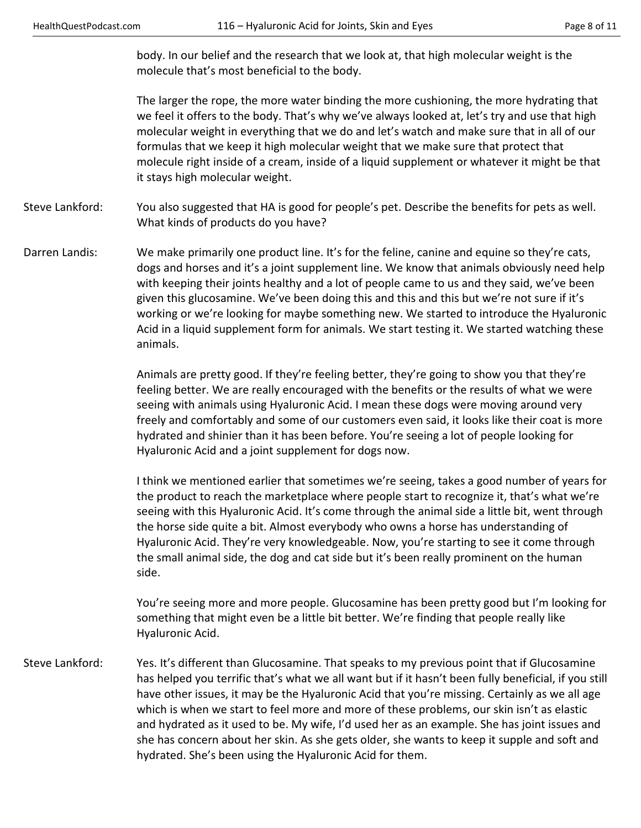body. In our belief and the research that we look at, that high molecular weight is the molecule that's most beneficial to the body.

 The larger the rope, the more water binding the more cushioning, the more hydrating that we feel it offers to the body. That's why we've always looked at, let's try and use that high molecular weight in everything that we do and let's watch and make sure that in all of our formulas that we keep it high molecular weight that we make sure that protect that molecule right inside of a cream, inside of a liquid supplement or whatever it might be that it stays high molecular weight.

Steve Lankford: You also suggested that HA is good for people's pet. Describe the benefits for pets as well. What kinds of products do you have?

Darren Landis: We make primarily one product line. It's for the feline, canine and equine so they're cats, dogs and horses and it's a joint supplement line. We know that animals obviously need help with keeping their joints healthy and a lot of people came to us and they said, we've been given this glucosamine. We've been doing this and this and this but we're not sure if it's working or we're looking for maybe something new. We started to introduce the Hyaluronic Acid in a liquid supplement form for animals. We start testing it. We started watching these animals.

> Animals are pretty good. If they're feeling better, they're going to show you that they're feeling better. We are really encouraged with the benefits or the results of what we were seeing with animals using Hyaluronic Acid. I mean these dogs were moving around very freely and comfortably and some of our customers even said, it looks like their coat is more hydrated and shinier than it has been before. You're seeing a lot of people looking for Hyaluronic Acid and a joint supplement for dogs now.

> I think we mentioned earlier that sometimes we're seeing, takes a good number of years for the product to reach the marketplace where people start to recognize it, that's what we're seeing with this Hyaluronic Acid. It's come through the animal side a little bit, went through the horse side quite a bit. Almost everybody who owns a horse has understanding of Hyaluronic Acid. They're very knowledgeable. Now, you're starting to see it come through the small animal side, the dog and cat side but it's been really prominent on the human side.

> You're seeing more and more people. Glucosamine has been pretty good but I'm looking for something that might even be a little bit better. We're finding that people really like Hyaluronic Acid.

Steve Lankford: Yes. It's different than Glucosamine. That speaks to my previous point that if Glucosamine has helped you terrific that's what we all want but if it hasn't been fully beneficial, if you still have other issues, it may be the Hyaluronic Acid that you're missing. Certainly as we all age which is when we start to feel more and more of these problems, our skin isn't as elastic and hydrated as it used to be. My wife, I'd used her as an example. She has joint issues and she has concern about her skin. As she gets older, she wants to keep it supple and soft and hydrated. She's been using the Hyaluronic Acid for them.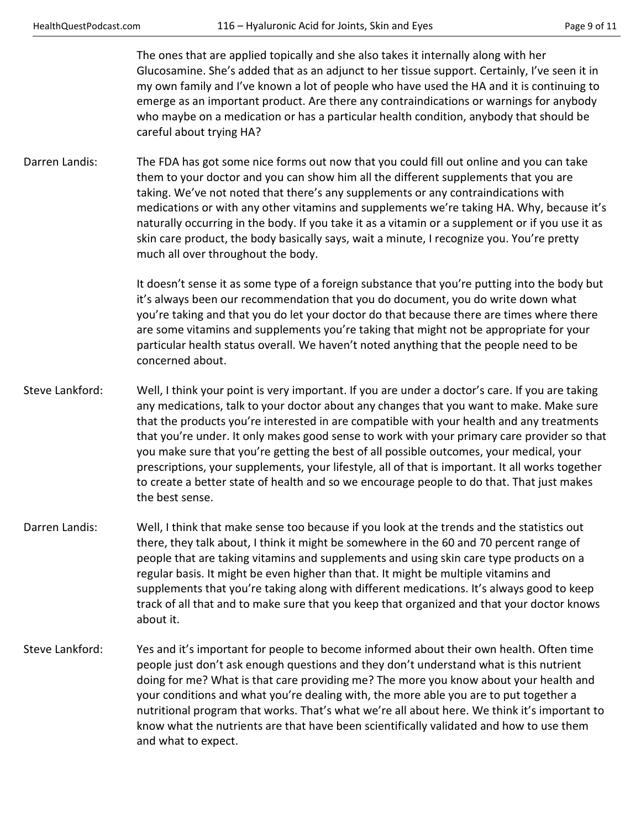The ones that are applied topically and she also takes it internally along with her Glucosamine. She's added that as an adjunct to her tissue support. Certainly, I've seen it in my own family and I've known a lot of people who have used the HA and it is continuing to emerge as an important product. Are there any contraindications or warnings for anybody who maybe on a medication or has a particular health condition, anybody that should be careful about trying HA?

Darren Landis: The FDA has got some nice forms out now that you could fill out online and you can take them to your doctor and you can show him all the different supplements that you are taking. We've not noted that there's any supplements or any contraindications with medications or with any other vitamins and supplements we're taking HA. Why, because it's naturally occurring in the body. If you take it as a vitamin or a supplement or if you use it as skin care product, the body basically says, wait a minute, I recognize you. You're pretty much all over throughout the body.

> It doesn't sense it as some type of a foreign substance that you're putting into the body but it's always been our recommendation that you do document, you do write down what you're taking and that you do let your doctor do that because there are times where there are some vitamins and supplements you're taking that might not be appropriate for your particular health status overall. We haven't noted anything that the people need to be concerned about.

- Steve Lankford: Well, I think your point is very important. If you are under a doctor's care. If you are taking any medications, talk to your doctor about any changes that you want to make. Make sure that the products you're interested in are compatible with your health and any treatments that you're under. It only makes good sense to work with your primary care provider so that you make sure that you're getting the best of all possible outcomes, your medical, your prescriptions, your supplements, your lifestyle, all of that is important. It all works together to create a better state of health and so we encourage people to do that. That just makes the best sense.
- Darren Landis: Well, I think that make sense too because if you look at the trends and the statistics out there, they talk about, I think it might be somewhere in the 60 and 70 percent range of people that are taking vitamins and supplements and using skin care type products on a regular basis. It might be even higher than that. It might be multiple vitamins and supplements that you're taking along with different medications. It's always good to keep track of all that and to make sure that you keep that organized and that your doctor knows about it.
- Steve Lankford: Yes and it's important for people to become informed about their own health. Often time people just don't ask enough questions and they don't understand what is this nutrient doing for me? What is that care providing me? The more you know about your health and your conditions and what you're dealing with, the more able you are to put together a nutritional program that works. That's what we're all about here. We think it's important to know what the nutrients are that have been scientifically validated and how to use them and what to expect.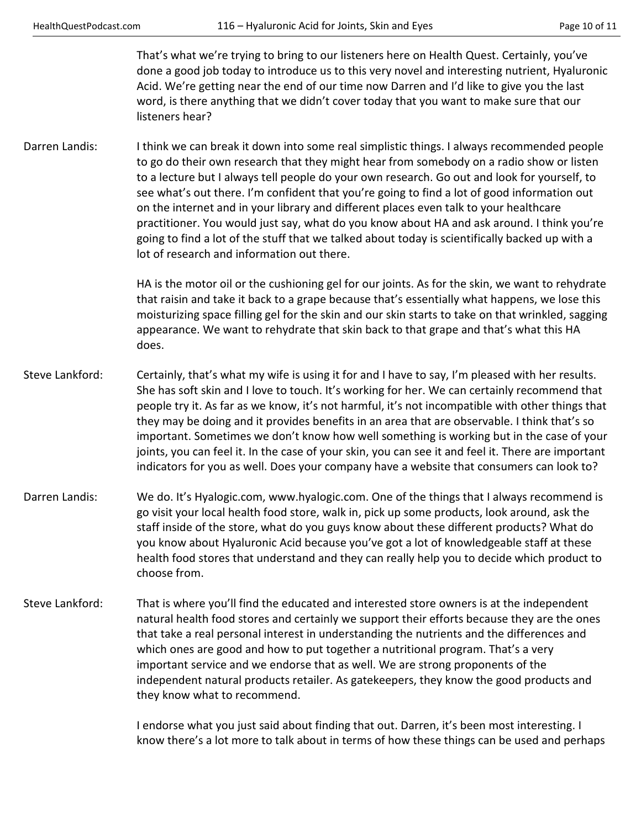That's what we're trying to bring to our listeners here on Health Quest. Certainly, you've done a good job today to introduce us to this very novel and interesting nutrient, Hyaluronic Acid. We're getting near the end of our time now Darren and I'd like to give you the last word, is there anything that we didn't cover today that you want to make sure that our listeners hear?

Darren Landis: I think we can break it down into some real simplistic things. I always recommended people to go do their own research that they might hear from somebody on a radio show or listen to a lecture but I always tell people do your own research. Go out and look for yourself, to see what's out there. I'm confident that you're going to find a lot of good information out on the internet and in your library and different places even talk to your healthcare practitioner. You would just say, what do you know about HA and ask around. I think you're going to find a lot of the stuff that we talked about today is scientifically backed up with a lot of research and information out there.

> HA is the motor oil or the cushioning gel for our joints. As for the skin, we want to rehydrate that raisin and take it back to a grape because that's essentially what happens, we lose this moisturizing space filling gel for the skin and our skin starts to take on that wrinkled, sagging appearance. We want to rehydrate that skin back to that grape and that's what this HA does.

- Steve Lankford: Certainly, that's what my wife is using it for and I have to say, I'm pleased with her results. She has soft skin and I love to touch. It's working for her. We can certainly recommend that people try it. As far as we know, it's not harmful, it's not incompatible with other things that they may be doing and it provides benefits in an area that are observable. I think that's so important. Sometimes we don't know how well something is working but in the case of your joints, you can feel it. In the case of your skin, you can see it and feel it. There are important indicators for you as well. Does your company have a website that consumers can look to?
- Darren Landis: We do. It's Hyalogic.com, www.hyalogic.com. One of the things that I always recommend is go visit your local health food store, walk in, pick up some products, look around, ask the staff inside of the store, what do you guys know about these different products? What do you know about Hyaluronic Acid because you've got a lot of knowledgeable staff at these health food stores that understand and they can really help you to decide which product to choose from.
- Steve Lankford: That is where you'll find the educated and interested store owners is at the independent natural health food stores and certainly we support their efforts because they are the ones that take a real personal interest in understanding the nutrients and the differences and which ones are good and how to put together a nutritional program. That's a very important service and we endorse that as well. We are strong proponents of the independent natural products retailer. As gatekeepers, they know the good products and they know what to recommend.

 I endorse what you just said about finding that out. Darren, it's been most interesting. I know there's a lot more to talk about in terms of how these things can be used and perhaps